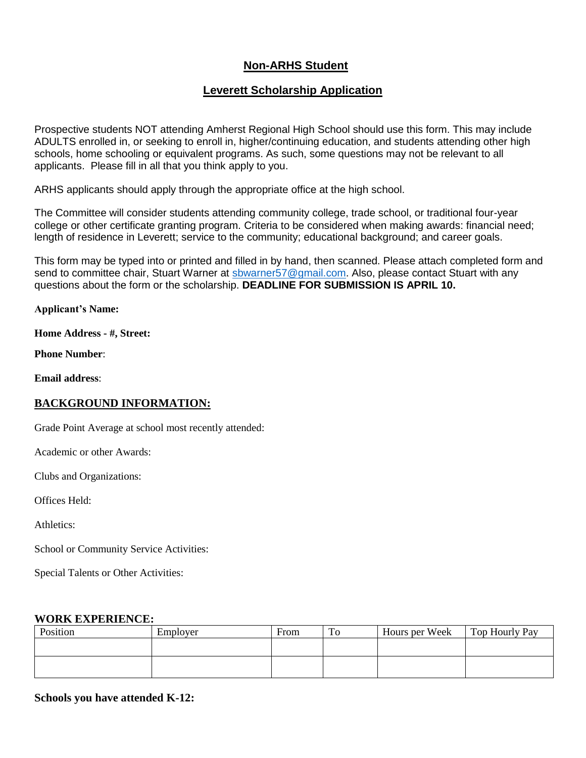# **Non-ARHS Student**

# **Leverett Scholarship Application**

Prospective students NOT attending Amherst Regional High School should use this form. This may include ADULTS enrolled in, or seeking to enroll in, higher/continuing education, and students attending other high schools, home schooling or equivalent programs. As such, some questions may not be relevant to all applicants. Please fill in all that you think apply to you.

ARHS applicants should apply through the appropriate office at the high school.

The Committee will consider students attending community college, trade school, or traditional four-year college or other certificate granting program. Criteria to be considered when making awards: financial need; length of residence in Leverett; service to the community; educational background; and career goals.

This form may be typed into or printed and filled in by hand, then scanned. Please attach completed form and send to committee chair, Stuart Warner at sbwarner 57@gmail.com. Also, please contact Stuart with any questions about the form or the scholarship. **DEADLINE FOR SUBMISSION IS APRIL 10.**

**Applicant's Name:**

**Home Address - #, Street:**

**Phone Number**:

**Email address**:

# **BACKGROUND INFORMATION:**

Grade Point Average at school most recently attended:

Academic or other Awards:

Clubs and Organizations:

Offices Held:

Athletics:

School or Community Service Activities:

Special Talents or Other Activities:

### **WORK EXPERIENCE:**

| Position | Employer | From | To | Hours per Week | Top Hourly Pay |
|----------|----------|------|----|----------------|----------------|
|          |          |      |    |                |                |
|          |          |      |    |                |                |
|          |          |      |    |                |                |
|          |          |      |    |                |                |

# **Schools you have attended K-12:**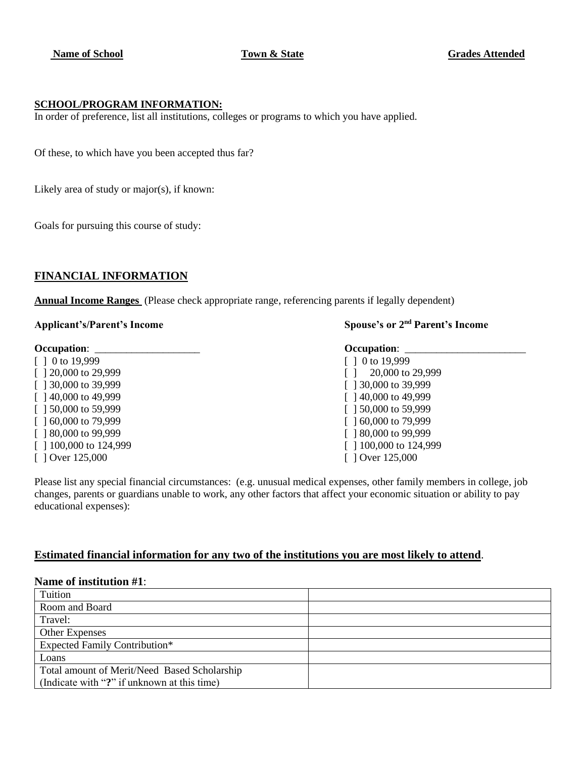#### **SCHOOL/PROGRAM INFORMATION:**

In order of preference, list all institutions, colleges or programs to which you have applied.

Of these, to which have you been accepted thus far?

Likely area of study or major(s), if known:

Goals for pursuing this course of study:

# **FINANCIAL INFORMATION**

**Annual Income Ranges** (Please check appropriate range, referencing parents if legally dependent)

#### Applicant's/Parent's Income

#### **Occupation**: \_\_\_\_\_\_\_\_\_\_\_\_\_\_\_\_\_\_\_\_ **Occupation**: \_\_\_\_\_\_\_\_\_\_\_\_\_\_\_\_\_\_\_\_\_\_\_

 $\begin{bmatrix} 1 & 0 & 19,999 \end{bmatrix}$  [ ] 0 to 19,999 [ ] 30,000 to 39,999 **[ ] 30,000 to 39,999** [ ] 40,000 to 49,999 [ ] 40,000 to 49,999 [ ] 50,000 to 59,999 [ ] 50,000 to 59,999 [ ] 60,000 to 79,999 [ ] 60,000 to 79,999 [ ] 80,000 to 99,999 [ ] 80,000 to 99,999 [ ] Over 125,000 [ ] Over 125,000

### **Spouse's or 2<sup>nd</sup> Parent's Income**

[ ] 20,000 to 29,999 [ ] 20,000 to 29,999 [ ] 100,000 to 124,999 [ ] 100,000 to 124,999

Please list any special financial circumstances: (e.g. unusual medical expenses, other family members in college, job changes, parents or guardians unable to work, any other factors that affect your economic situation or ability to pay educational expenses):

#### **Estimated financial information for any two of the institutions you are most likely to attend**.

#### **Name of institution #1**:

| Tuition                                      |  |
|----------------------------------------------|--|
| Room and Board                               |  |
| Travel:                                      |  |
| Other Expenses                               |  |
| <b>Expected Family Contribution*</b>         |  |
| Loans                                        |  |
| Total amount of Merit/Need Based Scholarship |  |
| (Indicate with "?" if unknown at this time)  |  |